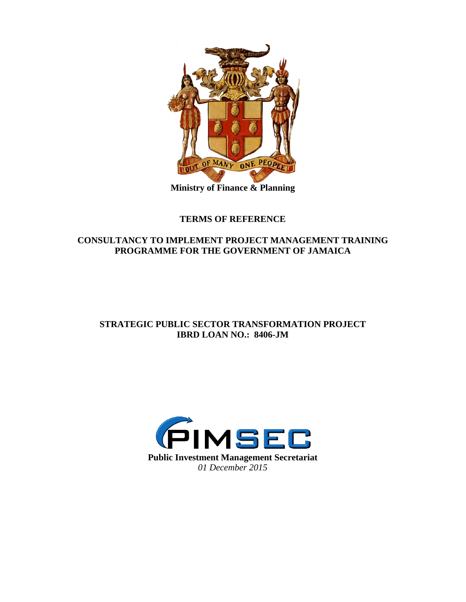

**Ministry of Finance & Planning**

# **TERMS OF REFERENCE**

# **CONSULTANCY TO IMPLEMENT PROJECT MANAGEMENT TRAINING PROGRAMME FOR THE GOVERNMENT OF JAMAICA**

# **STRATEGIC PUBLIC SECTOR TRANSFORMATION PROJECT IBRD LOAN NO.: 8406-JM**

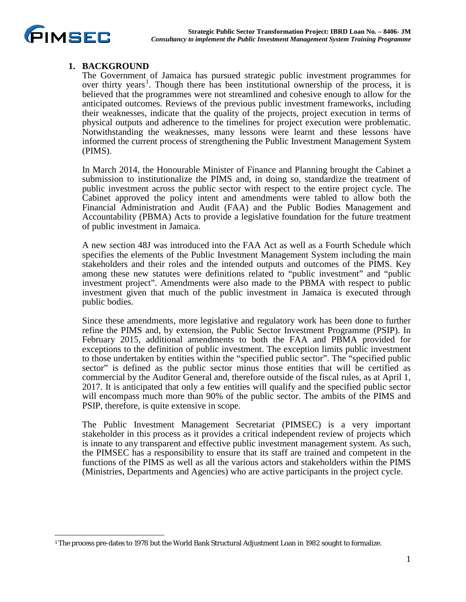

### **1. BACKGROUND**

The Government of Jamaica has pursued strategic public investment programmes for over thirty years<sup>[1](#page-1-0)</sup>. Though there has been institutional ownership of the process, it is believed that the programmes were not streamlined and cohesive enough to allow for the anticipated outcomes. Reviews of the previous public investment frameworks, including their weaknesses, indicate that the quality of the projects, project execution in terms of physical outputs and adherence to the timelines for project execution were problematic. Notwithstanding the weaknesses, many lessons were learnt and these lessons have informed the current process of strengthening the Public Investment Management System (PIMS).

In March 2014, the Honourable Minister of Finance and Planning brought the Cabinet a submission to institutionalize the PIMS and, in doing so, standardize the treatment of public investment across the public sector with respect to the entire project cycle. The Cabinet approved the policy intent and amendments were tabled to allow both the Financial Administration and Audit (FAA) and the Public Bodies Management and Accountability (PBMA) Acts to provide a legislative foundation for the future treatment of public investment in Jamaica.

A new section 48J was introduced into the FAA Act as well as a Fourth Schedule which specifies the elements of the Public Investment Management System including the main stakeholders and their roles and the intended outputs and outcomes of the PIMS. Key among these new statutes were definitions related to "public investment" and "public investment project". Amendments were also made to the PBMA with respect to public investment given that much of the public investment in Jamaica is executed through public bodies.

Since these amendments, more legislative and regulatory work has been done to further refine the PIMS and, by extension, the Public Sector Investment Programme (PSIP). In February 2015, additional amendments to both the FAA and PBMA provided for exceptions to the definition of public investment. The exception limits public investment to those undertaken by entities within the "specified public sector". The "specified public sector" is defined as the public sector minus those entities that will be certified as commercial by the Auditor General and, therefore outside of the fiscal rules, as at April 1, 2017. It is anticipated that only a few entities will qualify and the specified public sector will encompass much more than 90% of the public sector. The ambits of the PIMS and PSIP, therefore, is quite extensive in scope.

The Public Investment Management Secretariat (PIMSEC) is a very important stakeholder in this process as it provides a critical independent review of projects which is innate to any transparent and effective public investment management system. As such, the PIMSEC has a responsibility to ensure that its staff are trained and competent in the functions of the PIMS as well as all the various actors and stakeholders within the PIMS (Ministries, Departments and Agencies) who are active participants in the project cycle.

<span id="page-1-0"></span> $\overline{a}$ <sup>1</sup> The process pre-dates to 1978 but the World Bank Structural Adjustment Loan in 1982 sought to formalize.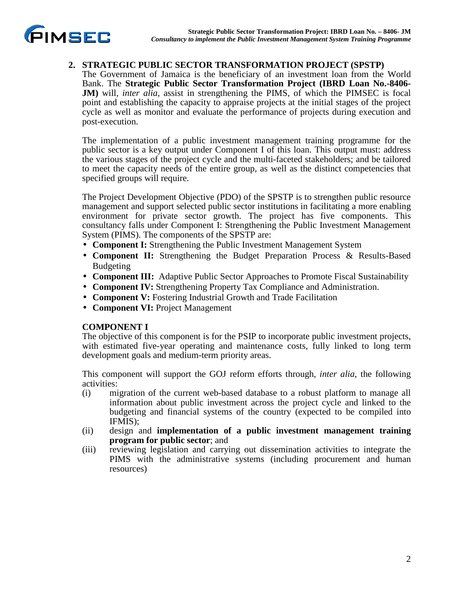

## **2. STRATEGIC PUBLIC SECTOR TRANSFORMATION PROJECT (SPSTP)**

The Government of Jamaica is the beneficiary of an investment loan from the World Bank. The **Strategic Public Sector Transformation Project (IBRD Loan No.-8406- JM**) will, *inter alia*, assist in strengthening the PIMS, of which the PIMSEC is focal point and establishing the capacity to appraise projects at the initial stages of the project cycle as well as monitor and evaluate the performance of projects during execution and post-execution.

The implementation of a public investment management training programme for the public sector is a key output under Component I of this loan. This output must: address the various stages of the project cycle and the multi-faceted stakeholders; and be tailored to meet the capacity needs of the entire group, as well as the distinct competencies that specified groups will require.

The Project Development Objective (PDO) of the SPSTP is to strengthen public resource management and support selected public sector institutions in facilitating a more enabling environment for private sector growth. The project has five components. This consultancy falls under Component I: Strengthening the Public Investment Management System (PIMS). The components of the SPSTP are:

- **Component I:** Strengthening the Public Investment Management System
- **Component II:** Strengthening the Budget Preparation Process & Results-Based Budgeting
- **Component III:** Adaptive Public Sector Approaches to Promote Fiscal Sustainability
- **Component IV:** Strengthening Property Tax Compliance and Administration.
- **Component V:** Fostering Industrial Growth and Trade Facilitation
- **Component VI:** Project Management

#### **COMPONENT I**

The objective of this component is for the PSIP to incorporate public investment projects, with estimated five-year operating and maintenance costs, fully linked to long term development goals and medium-term priority areas.

This component will support the GOJ reform efforts through, *inter alia*, the following activities:

- (i) migration of the current web-based database to a robust platform to manage all information about public investment across the project cycle and linked to the budgeting and financial systems of the country (expected to be compiled into IFMIS);
- (ii) design and **implementation of a public investment management training program for public sector**; and
- (iii) reviewing legislation and carrying out dissemination activities to integrate the PIMS with the administrative systems (including procurement and human resources)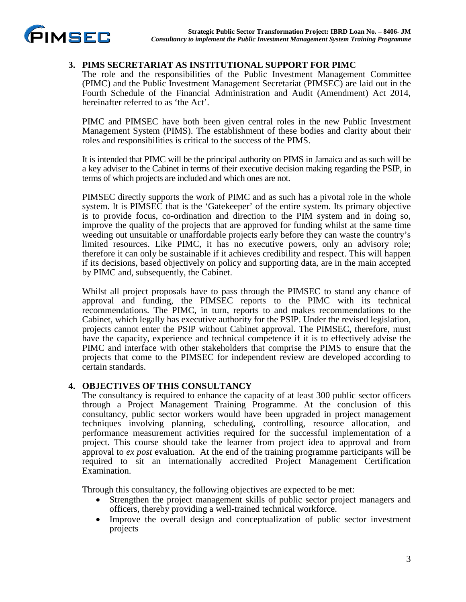

### **3. PIMS SECRETARIAT AS INSTITUTIONAL SUPPORT FOR PIMC**

The role and the responsibilities of the Public Investment Management Committee (PIMC) and the Public Investment Management Secretariat (PIMSEC) are laid out in the Fourth Schedule of the Financial Administration and Audit (Amendment) Act 2014, hereinafter referred to as 'the Act'.

PIMC and PIMSEC have both been given central roles in the new Public Investment Management System (PIMS). The establishment of these bodies and clarity about their roles and responsibilities is critical to the success of the PIMS.

It is intended that PIMC will be the principal authority on PIMS in Jamaica and as such will be a key adviser to the Cabinet in terms of their executive decision making regarding the PSIP, in terms of which projects are included and which ones are not.

PIMSEC directly supports the work of PIMC and as such has a pivotal role in the whole system. It is PIMSEC that is the 'Gatekeeper' of the entire system. Its primary objective is to provide focus, co-ordination and direction to the PIM system and in doing so, improve the quality of the projects that are approved for funding whilst at the same time weeding out unsuitable or unaffordable projects early before they can waste the country's limited resources. Like PIMC, it has no executive powers, only an advisory role; therefore it can only be sustainable if it achieves credibility and respect. This will happen if its decisions, based objectively on policy and supporting data, are in the main accepted by PIMC and, subsequently, the Cabinet.

Whilst all project proposals have to pass through the PIMSEC to stand any chance of approval and funding, the PIMSEC reports to the PIMC with its technical recommendations. The PIMC, in turn, reports to and makes recommendations to the Cabinet, which legally has executive authority for the PSIP. Under the revised legislation, projects cannot enter the PSIP without Cabinet approval. The PIMSEC, therefore, must have the capacity, experience and technical competence if it is to effectively advise the PIMC and interface with other stakeholders that comprise the PIMS to ensure that the projects that come to the PIMSEC for independent review are developed according to certain standards.

#### **4. OBJECTIVES OF THIS CONSULTANCY**

The consultancy is required to enhance the capacity of at least 300 public sector officers through a Project Management Training Programme. At the conclusion of this consultancy, public sector workers would have been upgraded in project management techniques involving planning, scheduling, controlling, resource allocation, and performance measurement activities required for the successful implementation of a project. This course should take the learner from project idea to approval and from approval to *ex post* evaluation. At the end of the training programme participants will be required to sit an internationally accredited Project Management Certification Examination.

Through this consultancy, the following objectives are expected to be met:

- Strengthen the project management skills of public sector project managers and officers, thereby providing a well-trained technical workforce.
- Improve the overall design and conceptualization of public sector investment projects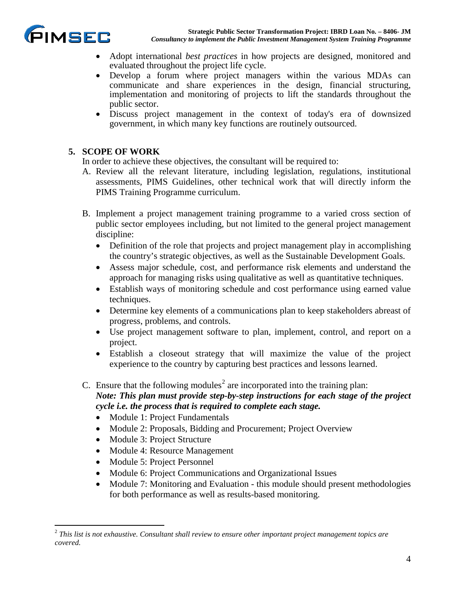

- Adopt international *best practices* in how projects are designed, monitored and evaluated throughout the project life cycle.
- Develop a forum where project managers within the various MDAs can communicate and share experiences in the design, financial structuring, implementation and monitoring of projects to lift the standards throughout the public sector.
- Discuss project management in the context of today's era of downsized government, in which many key functions are routinely outsourced.

# **5. SCOPE OF WORK**

In order to achieve these objectives, the consultant will be required to:

- A. Review all the relevant literature, including legislation, regulations, institutional assessments, PIMS Guidelines, other technical work that will directly inform the PIMS Training Programme curriculum.
- B. Implement a project management training programme to a varied cross section of public sector employees including, but not limited to the general project management discipline:
	- Definition of the role that projects and project management play in accomplishing the country's strategic objectives, as well as the Sustainable Development Goals.
	- Assess major schedule, cost, and performance risk elements and understand the approach for managing risks using qualitative as well as quantitative techniques.
	- Establish ways of monitoring schedule and cost performance using earned value techniques.
	- Determine key elements of a communications plan to keep stakeholders abreast of progress, problems, and controls.
	- Use project management software to plan, implement, control, and report on a project.
	- Establish a closeout strategy that will maximize the value of the project experience to the country by capturing best practices and lessons learned.
- C. Ensure that the following modules<sup>[2](#page-4-0)</sup> are incorporated into the training plan:

## *Note: This plan must provide step-by-step instructions for each stage of the project cycle i.e. the process that is required to complete each stage.*

- Module 1: Project Fundamentals
- Module 2: Proposals, Bidding and Procurement; Project Overview
- Module 3: Project Structure
- Module 4: Resource Management
- Module 5: Project Personnel
- Module 6: Project Communications and Organizational Issues
- Module 7: Monitoring and Evaluation this module should present methodologies for both performance as well as results-based monitoring.

<span id="page-4-0"></span> <sup>2</sup> *This list is not exhaustive. Consultant shall review to ensure other important project management topics are covered.*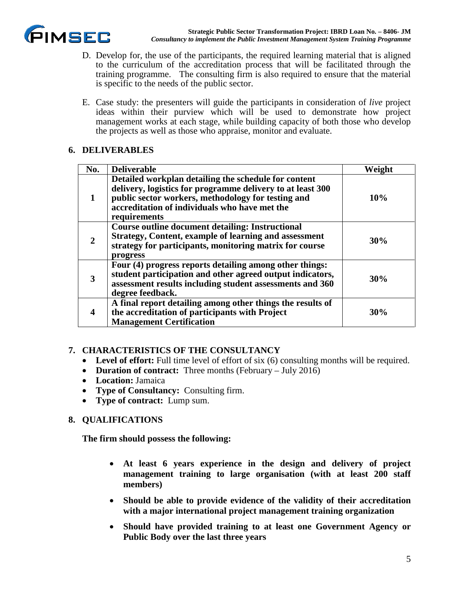

- D. Develop for, the use of the participants, the required learning material that is aligned to the curriculum of the accreditation process that will be facilitated through the training programme. The consulting firm is also required to ensure that the material is specific to the needs of the public sector.
- E. Case study: the presenters will guide the participants in consideration of *live* project ideas within their purview which will be used to demonstrate how project management works at each stage, while building capacity of both those who develop the projects as well as those who appraise, monitor and evaluate.

### **6. DELIVERABLES**

| No. | <b>Deliverable</b>                                                                                                                                                                                                                        | Weight |
|-----|-------------------------------------------------------------------------------------------------------------------------------------------------------------------------------------------------------------------------------------------|--------|
|     | Detailed workplan detailing the schedule for content<br>delivery, logistics for programme delivery to at least 300<br>public sector workers, methodology for testing and<br>accreditation of individuals who have met the<br>requirements | 10%    |
|     | Course outline document detailing: Instructional<br><b>Strategy, Content, example of learning and assessment</b><br>strategy for participants, monitoring matrix for course<br>progress                                                   | 30%    |
| 3   | Four (4) progress reports detailing among other things:<br>student participation and other agreed output indicators,<br>assessment results including student assessments and 360<br>degree feedback.                                      | 30%    |
| 4   | A final report detailing among other things the results of<br>the accreditation of participants with Project<br><b>Management Certification</b>                                                                                           | 30%    |

## **7. CHARACTERISTICS OF THE CONSULTANCY**

- Level of effort: Full time level of effort of six (6) consulting months will be required.
- **Duration of contract:** Three months (February July 2016)
- **Location:** Jamaica
- **Type of Consultancy:** Consulting firm.
- **Type of contract:** Lump sum.

## **8. QUALIFICATIONS**

**The firm should possess the following:**

- **At least 6 years experience in the design and delivery of project management training to large organisation (with at least 200 staff members)**
- **Should be able to provide evidence of the validity of their accreditation with a major international project management training organization**
- **Should have provided training to at least one Government Agency or Public Body over the last three years**